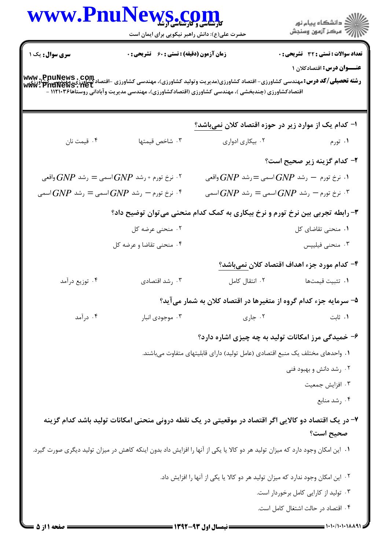|                       | www.PnuNews.com                                                                                                               |                  |                                                                                                                                                                                      |
|-----------------------|-------------------------------------------------------------------------------------------------------------------------------|------------------|--------------------------------------------------------------------------------------------------------------------------------------------------------------------------------------|
|                       | حضرت علی(ع): دانش راهبر نیکویی برای ایمان است                                                                                 |                  | ر دانشڪاه پيام نور<br>دانشڪاه پيام نور                                                                                                                                               |
| <b>سری سوال:</b> یک ۱ | <b>زمان آزمون (دقیقه) : تستی : 60 ٪ تشریحی : 0</b>                                                                            |                  | تعداد سوالات : تستي : 32 - تشريحي : 0                                                                                                                                                |
|                       |                                                                                                                               |                  | <b>عنـــوان درس:</b> اقتصادکلان ۱                                                                                                                                                    |
|                       | اقتصادکشاورزی (چندبخشی )، مهندسی کشاورزی (اقتصادکشاورزی)، مهندسی مدیریت وآبادانی روستاها۱۱۲۱۰۳۶ -                             |                  | <b>رشته تحصیلی/کد درس:</b> مهندسی کشاورزی- اقتصاد کشاورزی(مدیریت وتولید کشاورزی)، مهندسی کشاورزی -اقتصادکشاورزی، مهندسی کشاورزی<br><b>www . PnuNews . net</b><br>www . PnuNews . net |
|                       |                                                                                                                               |                  |                                                                                                                                                                                      |
|                       |                                                                                                                               |                  | ا– کدام یک از موارد زیر در حوزه اقتصاد کلان نمیباشد؟                                                                                                                                 |
| ۰۴ قیمت نان           | ۰۳ شاخص قیمتها                                                                                                                | ٠٢ بيكارى ادوارى | ۰۱ تورم                                                                                                                                                                              |
|                       |                                                                                                                               |                  | ۲- کدام گزینه زیر صحیح است؟                                                                                                                                                          |
|                       | ۰۲ نرخ تورم + رشد $G\!N\!P$ اسمی $\sum_{\omega} = G\!N\!P$ واقعی $\Gamma$                                                     |                  | ۰۱ نرخ تورم $P$ رشد $GNP$ اسمی $P=$ رشد $GNP$ واقعی $\cdot$ ۱                                                                                                                        |
|                       | نرخ تورم $P$ رشد $GNP$ اسمی $P = \epsilon$ شد $GNP$ اسمی $^*$                                                                 |                  | ترخ تورم $P$ رشد $GNP$ اسمی $P = \epsilon$ شد $GNP$ اسمی "                                                                                                                           |
|                       |                                                                                                                               |                  | ۳- رابطه تجربی بین نرخ تورم و نرخ بیکاری به کمک کدام منحنی میتوان توضیح داد؟                                                                                                         |
|                       | ۰۲ منحنی عرضه کل                                                                                                              |                  | ٠١ منحنى تقاضاى كل                                                                                                                                                                   |
|                       | ۰۴ منحنی تقاضا و عرضه کل                                                                                                      |                  | ۰۳ منحنی فیلیپس                                                                                                                                                                      |
|                       |                                                                                                                               |                  | ۴– كدام مورد جزء اهداف اقتصاد كلان نمىباشد؟                                                                                                                                          |
| ۰۴ توزیع درآمد        | ۰۳ رشد اقتصادی                                                                                                                | ۰۲ انتقال کامل   | ٠١ تثبيت قيمتها                                                                                                                                                                      |
|                       |                                                                                                                               |                  | ۵– سرمایه جزء کدام گروه از متغیرها در اقتصاد کلان به شمار میآید؟                                                                                                                     |
| ۰۴ در آمد             | ۰۳ موجودی انبار                                                                                                               | ۰۲ جاری          | ۰۱ ثابت                                                                                                                                                                              |
|                       |                                                                                                                               |                  | ۶- خمیدگی مرز امکانات تولید به چه چیزی اشاره دارد؟                                                                                                                                   |
|                       |                                                                                                                               |                  | ٠١ واحدهاي مختلف يک منبع اقتصادي (عامل توليد) داراي قابليتهاي متفاوت ميباشند.                                                                                                        |
|                       |                                                                                                                               |                  | ۰۲ رشد دانش و بهبود فنی                                                                                                                                                              |
|                       |                                                                                                                               |                  | ۰۳ افزايش جمعيت                                                                                                                                                                      |
|                       |                                                                                                                               |                  | ۰۴ رشد منابع                                                                                                                                                                         |
|                       | ۷- در یک اقتصاد دو کالایی اگر اقتصاد در موقعیتی در یک نقطه درونی منحنی امکانات تولید باشد کدام گزینه                          |                  |                                                                                                                                                                                      |
|                       |                                                                                                                               |                  | صحيح است؟                                                                                                                                                                            |
|                       | ۰۱ این امکان وجود دارد که میزان تولید هر دو کالا یا یکی از آنها را افزایش داد بدون اینکه کاهش در میزان تولید دیگری صورت گیرد. |                  |                                                                                                                                                                                      |
|                       |                                                                                                                               |                  | ۰۲ این امکان وجود ندارد که میزان تولید هر دو کالا یا یکی از آنها را افزایش داد.                                                                                                      |
|                       |                                                                                                                               |                  | ۰۳ تولید از کارایی کامل برخوردار است.                                                                                                                                                |
|                       |                                                                                                                               |                  | ۰۴ اقتصاد در حالت اشتغال کامل است.                                                                                                                                                   |

 $= 1.11/1.11111$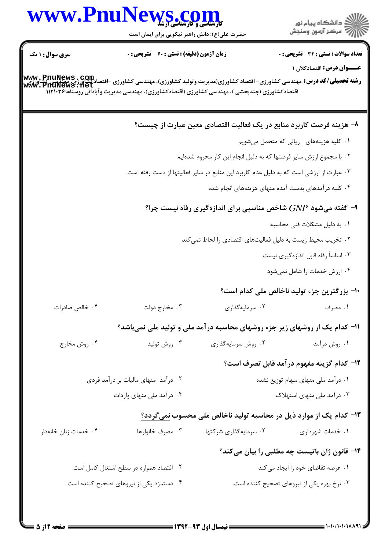

۰۴ دستمزد یکی از نیروهای تصحیح کننده است. ۰۳ نرخ بهره یکی از نیروهای تصحیح کننده است.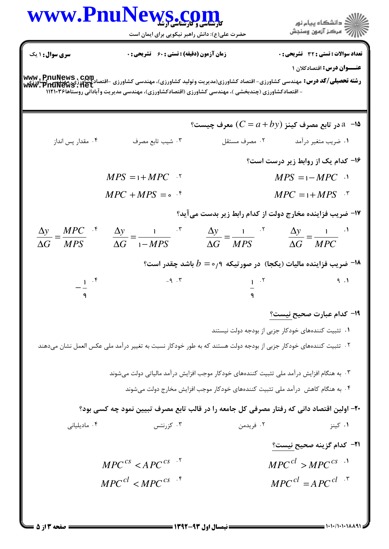|                                               | WWW.PnuNews.com                                                                                                                                                                                                                                                   |                                                                                   |                                                                               |
|-----------------------------------------------|-------------------------------------------------------------------------------------------------------------------------------------------------------------------------------------------------------------------------------------------------------------------|-----------------------------------------------------------------------------------|-------------------------------------------------------------------------------|
|                                               | حضرت علی(ع): دانش راهبر نیکویی برای ایمان است                                                                                                                                                                                                                     |                                                                                   |                                                                               |
| <b>سری سوال :</b> ۱ یک                        | زمان آزمون (دقیقه) : تستی : 60 ٪ تشریحی : 0                                                                                                                                                                                                                       |                                                                                   | تعداد سوالات : تستى : 32 ٪ تشريحي : 0                                         |
|                                               |                                                                                                                                                                                                                                                                   |                                                                                   | عنـــوان درس: اقتصادکلان ۱                                                    |
|                                               | <b>www,PnuNews,Com</b><br>Law in the bigging to the bigging of the bigging of the bigging of the temple in the temple of the temple of th<br>WWW,PHUNeWS,Het<br>- اقتصادکشاورزی (چندبخشی )، مهندسی کشاورزی (اقتصادکشاورزی)، مهندسی مدیریت وآبادانی روستاها۱۱۲۱۰۳۶ |                                                                                   |                                                                               |
|                                               |                                                                                                                                                                                                                                                                   |                                                                                   |                                                                               |
|                                               |                                                                                                                                                                                                                                                                   |                                                                                   | °ا-۔ 2 در تابع مصرف کینز (C = $a$ + $b$ y) معرف چیست $a$                      |
| ۰۴ مقدار پس انداز                             | ۰۳ شیب تابع مصرف                                                                                                                                                                                                                                                  | ۰۲ مصرف مستقل                                                                     | ۰۱ ضریب متغیر درآمد                                                           |
|                                               |                                                                                                                                                                                                                                                                   |                                                                                   | ۱۶- کدام یک از روابط زیر درست است؟                                            |
|                                               | $MPS = 1 + MPC$ .                                                                                                                                                                                                                                                 |                                                                                   | $MPS = 1-MPC$                                                                 |
|                                               | $MPC + MPS = \circ$ f                                                                                                                                                                                                                                             |                                                                                   | $MPC = 1 + MPS$ .                                                             |
|                                               |                                                                                                                                                                                                                                                                   |                                                                                   | ۱۷- ضریب فزاینده مخارج دولت از کدام رابط زیر بدست میآید؟                      |
| $\frac{\Delta y}{\Delta G} = \frac{MPC}{MPS}$ | $\frac{\Delta y}{\Delta G} = \frac{1}{1 - MPS}$ $\frac{\Delta y}{\Delta G} = \frac{1}{MPS}$ $\frac{\Delta y}{\Delta G} = \frac{1}{MPC}$                                                                                                                           |                                                                                   |                                                                               |
|                                               |                                                                                                                                                                                                                                                                   |                                                                                   |                                                                               |
|                                               |                                                                                                                                                                                                                                                                   |                                                                                   | ا– ضریب فزاینده مالیات (یکجا) در صورتیکه ۹ $b=\circ$ باشد چقدر است؟ $\bullet$ |
|                                               | $-9.7$                                                                                                                                                                                                                                                            | $1 \cdot Y$                                                                       | 9.1                                                                           |
|                                               |                                                                                                                                                                                                                                                                   |                                                                                   |                                                                               |
|                                               |                                                                                                                                                                                                                                                                   |                                                                                   | 1۹– کدام عبارت صحیح نیست؟                                                     |
|                                               |                                                                                                                                                                                                                                                                   |                                                                                   | ۰۱ تثبیت کنندههای خودکار جزبی از بودجه دولت نیستند                            |
|                                               | <sup>۲</sup> ۰ تثبیت کنندههای خودکار جزبی از بودجه دولت هستند که به طور خودکار نسبت به تغییر درآمد ملی عکس العمل نشان میدهند                                                                                                                                      |                                                                                   |                                                                               |
|                                               | ۰۳ به هنگام افزایش درآمد ملی تثبیت کنندههای خودکار موجب افزایش درآمد مالیاتی دولت میشوند                                                                                                                                                                          |                                                                                   |                                                                               |
|                                               |                                                                                                                                                                                                                                                                   | ۰۴ به هنگام کاهش  درآمد ملی تثبیت کنندههای خودکار موجب افزایش مخارج دولت میشوند . |                                                                               |
|                                               | ۲۰- اولین اقتصاد دانی که رفتار مصرفی کل جامعه را در قالب تابع مصرف تبیین نمود چه کسی بود؟                                                                                                                                                                         |                                                                                   |                                                                               |
| ۰۴ مادیلیانی                                  | ۰۳ کزرنتس                                                                                                                                                                                                                                                         | ۰۲ فریدمن                                                                         | ۰۱ کینز                                                                       |
|                                               |                                                                                                                                                                                                                                                                   |                                                                                   | <del>۰۲۱</del> کدام گزینه صحیح نیست؟                                          |
|                                               | $MPC^{cs} < APC^{cs}$ <sup>-1</sup>                                                                                                                                                                                                                               |                                                                                   | $MPC^{cl} > MPC^{cs}$ <sup>1</sup>                                            |
|                                               |                                                                                                                                                                                                                                                                   |                                                                                   |                                                                               |

 $= 1.1 - (1.1.1A)$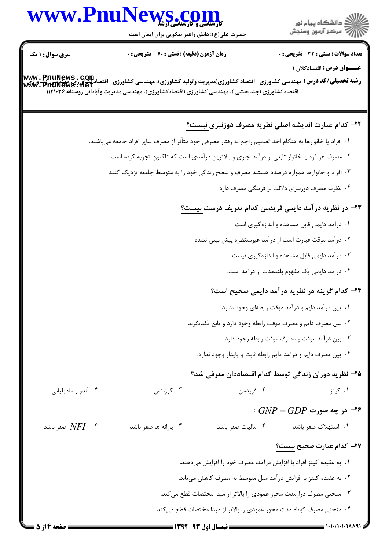## www.PnuNews.co

حضرت علی(ع): دانش راهبر نیکویی برای ایمان است

**سری سوال : ۱ یک** عنـــوان درس: اقتصادکلان ۱ **رشته تحصیلی/کد درس:** مهندسی کشاورزی- اقتصاد کشاورزی(مدیریت و تولید کشاورزی)، مهندسی کشاورزی -اقتصادکشاورزی<u>، مهکدیدی کش</u>اورزی<br>او است**ه تحصیلی/کد درس:** مهندسی کشاورزی- اقتصاد کشاورزی(مدیریت و تولید کشاورزی)، مهندسی کشاورز - اقتصادکشاورزی (چندبخشی )، مهندسی کشاورزی (اقتصادکشاورزی)، مهندسی مدیریت وآبادانی روستاها۱۱۲۱۰۳۶ ٢٢- كدام عبارت انديشه اصلى نظريه مصرف دوزنبري نيست؟ ١. افراد يا خانوارها به هنگام اخذ تصميم راجع به رفتار مصرفي خود متأثر از مصرف ساير افراد جامعه ميباشند. ۲ . مصرف هر فرد یا خانوار تابعی از درآمد جاری و بالاترین درآمدی است که تاکنون تجربه کرده است ۰۳ افراد و خانوارها همواره درصدد هستند مصرف و سطح زندگی خود را به متوسط جامعه نزدیک کنند ۰۴ نظریه مصرف دوزنبری دلالت بر قرینگی مصرف دارد ٢٣- در نظريه درآمد دايمي فريدمن كدام تعريف درست نيست؟ ۰۱ درآمد دایمی قابل مشاهده و اندازهگیری است ۰۲ درآمد موقت عبارت است از درآمد غیرمنتظره پیش بینی نشده ۰۳ درآمد دایمی قابل مشاهده و اندازهگیری نیست ۰۴ درآمد دایمی یک مفهوم بلندمدت از درآمد است. **۲۴- کدام گزینه در نظریه درآمد دایمی صحیح است**؟ ۰۱ بین درآمد دایم و درآمد موقت رابطهای وجود ندارد. ۰۲ بین مصرف دایم و مصرف موقت رابطه وجود دارد و تابع یکدیگرند ۰۳ بین درآمد موقت و مصرف موقت رابطه وجود دارد. ۰۴ بین مصرف دایم و درآمد دایم رابطه ثابت و پایدار وجود ندارد. ۲۵– نظریه دوران زندگی توسط کدام اقتصاددان معرفی شد؟ ۰۳ کوزنتس ۰۴ آندو و مادیلیانی ۰۱ کینز ۰۲ فریدمن  $\therefore GNP = GDP$  در چه صورت -  $\blacktriangle$ صفر باشد NFI \* ۰۳ یا,انه ها صفر باشد ٠٢ ماليات صفر باشد ۰۱ استهلاک صفر باشد ٢٧- كدام عبارت صحيح نيست؟ ٠١. به عقيده كينز افراد با افزايش درآمد، مصرف خود را افزايش مىدهند. ۲ . به عقیده کینز با افزایش درآمد میل متوسط به مصرف کاهش می یابد. ۰۳ منحنی مصرف درازمدت محور عمودی را بالاتر از مبدا مختصات قطع می کند. ۰۴ منحنی مصرف کوتاه مدت محور عمودی را بالاتر از مبدا مختصات قطع می کند.



**تعداد سوالات : تستی : 32 - تشریحی : 0** 

**زمان آزمون (دقیقه) : تستی : 60 ٪ تشریحی : 0**